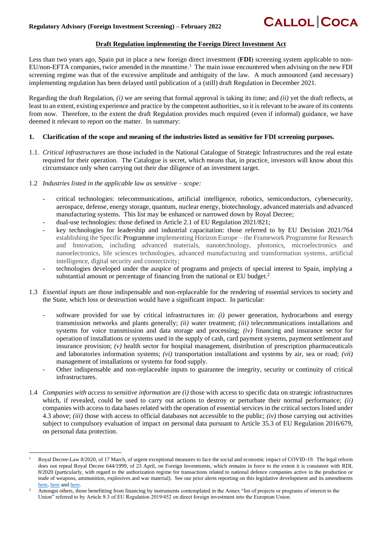## **CALLOL COCA**

### **Draft Regulation implementing the Foreign Direct Investment Act**

Less than two years ago, Spain put in place a new foreign direct investment (**FDI**) screening system applicable to non-EU/non-EFTA companies, twice amended in the meantime.<sup>1</sup> The main issue encountered when advising on the new FDI screening regime was that of the excessive amplitude and ambiguity of the law. A much announced (and necessary) implementing regulation has been delayed until publication of a (still) draft Regulation in December 2021.

Regarding the draft Regulation, *(i)* we are seeing that formal approval is taking its time; and *(ii)* yet the draft reflects, at least to an extent, existing experience and practice by the competent authorities, so it is relevant to be aware of its contents from now. Therefore, to the extent the draft Regulation provides much required (even if informal) guidance, we have deemed it relevant to report on the matter. In summary:

#### **1. Clarification of the scope and meaning of the industries listed as sensitive for FDI screening purposes.**

- 1.1. *Critical infrastructures* are those included in the National Catalogue of Strategic Infrastructures and the real estate required for their operation. The Catalogue is secret, which means that, in practice, investors will know about this circumstance only when carrying out their due diligence of an investment target.
- 1.2 *Industries listed in the applicable law as sensitive – scope:*
	- critical technologies: telecommunications, artificial intelligence, robotics, semiconductors, cybersecurity, aerospace, defense, energy storage, quantum, nuclear energy, biotechnology, advanced materials and advanced manufacturing systems. This list may be enhanced or narrowed down by Royal Decree;
	- dual-use technologies: those defined in Article 2.1 of EU Regulation 2021/821;
	- key technologies for leadership and industrial capacitation: those referred to by EU Decision 2021/764 establishing the Specific Programme implementing Horizon Europe – the Framework Programme for Research and Innovation, including advanced materials, nanotechnology, photonics, microelectronics and nanoelectronics, life sciences technologies, advanced manufacturing and transformation systems, artificial intelligence, digital security and connectivity;
	- technologies developed under the auspice of programs and projects of special interest to Spain, implying a substantial amount or percentage of financing from the national or EU budget.<sup>2</sup>
- 1.3 *Essential inputs* are those indispensable and non-replaceable for the rendering of essential services to society and the State, which loss or destruction would have a significant impact. In particular:
	- software provided for use by critical infrastructures in: *(i)* power generation, hydrocarbons and energy transmission networks and plants generally; *(ii)* water treatment; *(iii)* telecommunications installations and systems for voice transmission and data storage and processing; *(iv)* financing and insurance sector for operation of installations or systems used in the supply of cash, card payment systems, payment settlement and insurance provision;  $(v)$  health sector for hospital management, distribution of prescription pharmaceuticals and laboratories information systems; *(vi)* transportation installations and systems by air, sea or road; *(vii)* management of installations or systems for food supply.
	- Other indispensable and non-replaceable inputs to guarantee the integrity, security or continuity of critical infrastructures.
- 1.4 *Companies with access to sensitive information* are *(i)* those with access to specific data on strategic infrastructures which, if revealed, could be used to carry out actions to destroy or perturbate their normal performance; *(ii)* companies with access to data bases related with the operation of essential services in the critical sectors listed under 4.3 above; *(iii)* those with access to official databases not accessible to the public; *(iv)* those carrying out activities subject to compulsory evaluation of impact on personal data pursuant to Article 35.3 of EU Regulation 2016/679, on personal data protection.

<sup>1</sup> Royal Decree-Law 8/2020, of 17 March, of urgent exceptional measures to face the social and economic impact of COVID-19. The legal reform does not repeal Royal Decree 644/1999, of 23 April, on Foreign Investments, which remains in force to the extent it is consistent with RDL 8/2020 (particularly, with regard to the authorization regime for transactions related to national defence companies active in the production or trade of weapons, ammunition, explosives and war material). See our prior alerts reporting on this legislative development and its amendments [here,](http://callolcoca.com/wp-content/uploads/2020/03/Alert-COVID-FDI-and-other-urgent-measuresENDv2-2April1.pdf) [here](http://callolcoca.com/wp-content/uploads/2020/03/Alert-COVID-FDI-clarification-government-measure-1April2020v2.pdf) an[d here.](http://callolcoca.com/wp-content/uploads/2020/10/Alert-FDI-regime-amendment-for-publication.pdf)

<sup>2</sup> Amongst others, those benefitting from financing by instruments contemplated in the Annex "list of projects or programs of interest to the Union" referred to by Article 8.3 of EU Regulation 2019/452 on direct foreign investment into the European Union.